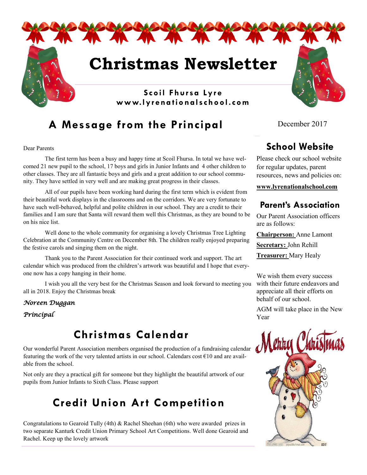

# **A Message from the Principal**

Dear Parents

The first term has been a busy and happy time at Scoil Fhursa. In total we have welcomed 21 new pupil to the school, 17 boys and girls in Junior Infants and 4 other children to other classes. They are all fantastic boys and girls and a great addition to our school community. They have settled in very well and are making great progress in their classes.

All of our pupils have been working hard during the first term which is evident from their beautiful work displays in the classrooms and on the corridors. We are very fortunate to have such well-behaved, helpful and polite children in our school. They are a credit to their families and I am sure that Santa will reward them well this Christmas, as they are bound to be on his nice list.

Well done to the whole community for organising a lovely Christmas Tree Lighting Celebration at the Community Centre on December 8th. The children really enjoyed preparing the festive carols and singing them on the night.

Thank you to the Parent Association for their continued work and support. The art calendar which was produced from the children's artwork was beautiful and I hope that everyone now has a copy hanging in their home.

I wish you all the very best for the Christmas Season and look forward to meeting you all in 2018. Enjoy the Christmas break

*Noreen Duggan* 

*Principal* 

# **Christmas Calendar**

Our wonderful Parent Association members organised the production of a fundraising calendar featuring the work of the very talented artists in our school. Calendars cost €10 and are available from the school.

Not only are they a practical gift for someone but they highlight the beautiful artwork of our pupils from Junior Infants to Sixth Class. Please support

# **Credit Union Art Competition**

Congratulations to Gearoid Tully (4th) & Rachel Sheehan (6th) who were awarded prizes in two separate Kanturk Credit Union Primary School Art Competitions. Well done Gearoid and Rachel. Keep up the lovely artwork

December 2017

## **School Website**

Please check our school website for regular updates, parent resources, news and policies on:

**www.lyrenationalschool.com**

#### **Parent's Association**

Our Parent Association officers are as follows:

**Chairperson:** Anne Lamont **Secretary:** John Rehill

**Treasurer:** Mary Healy

We wish them every success with their future endeavors and appreciate all their efforts on behalf of our school.

AGM will take place in the New Year